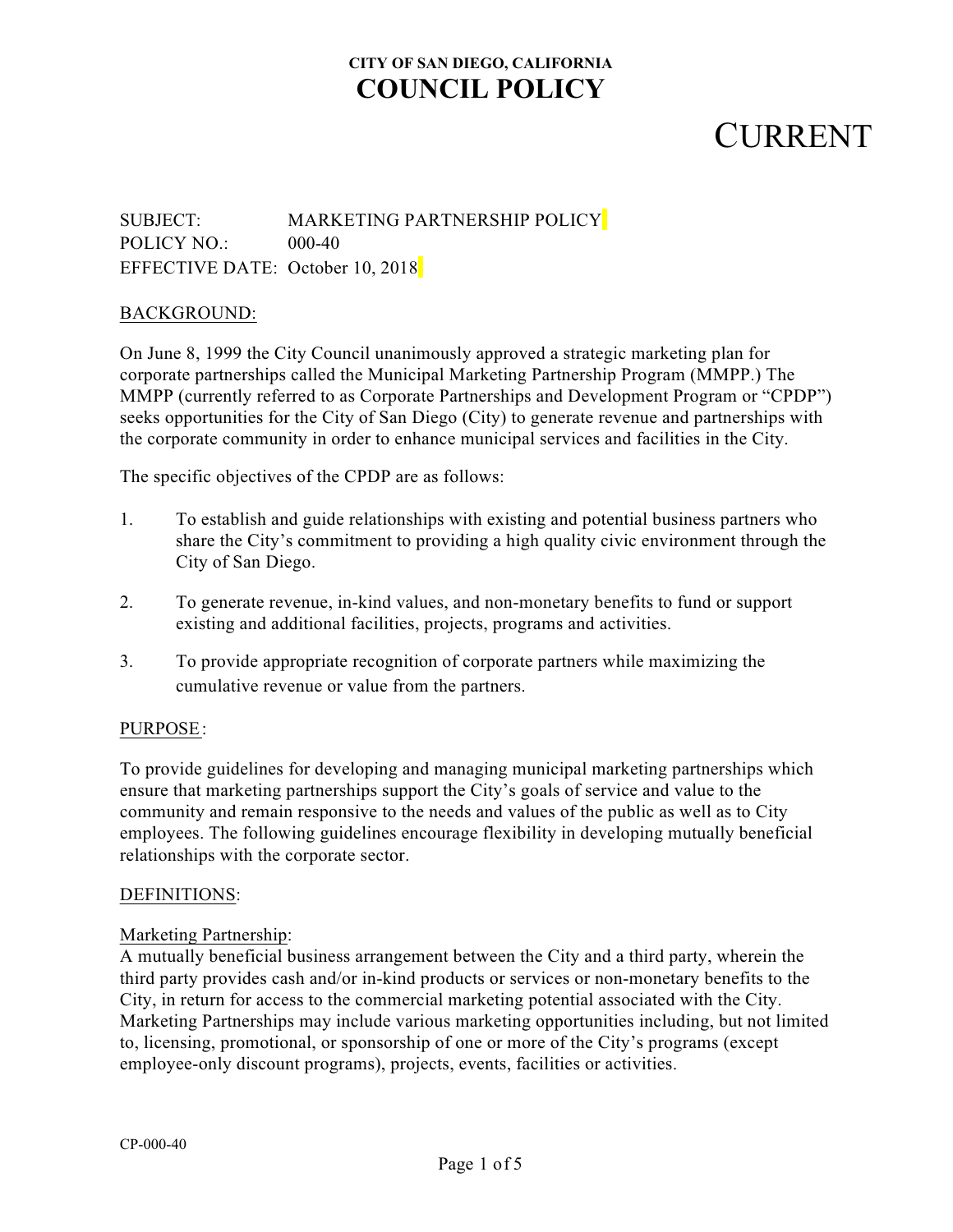## **CURRENT**

SUBJECT: MARKETING PARTNERSHIP POLICY POLICY NO.: 000-40 EFFECTIVE DATE: October 10, 2018

#### BACKGROUND:

On June 8, 1999 the City Council unanimously approved a strategic marketing plan for corporate partnerships called the Municipal Marketing Partnership Program (MMPP.) The MMPP (currently referred to as Corporate Partnerships and Development Program or "CPDP") seeks opportunities for the City of San Diego (City) to generate revenue and partnerships with the corporate community in order to enhance municipal services and facilities in the City.

The specific objectives of the CPDP are as follows:

- 1. To establish and guide relationships with existing and potential business partners who share the City's commitment to providing a high quality civic environment through the City of San Diego.
- 2. To generate revenue, in-kind values, and non-monetary benefits to fund or support existing and additional facilities, projects, programs and activities.
- 3. To provide appropriate recognition of corporate partners while maximizing the cumulative revenue or value from the partners.

#### PURPOSE:

To provide guidelines for developing and managing municipal marketing partnerships which ensure that marketing partnerships support the City's goals of service and value to the community and remain responsive to the needs and values of the public as well as to City employees. The following guidelines encourage flexibility in developing mutually beneficial relationships with the corporate sector.

#### DEFINITIONS:

#### Marketing Partnership:

A mutually beneficial business arrangement between the City and a third party, wherein the third party provides cash and/or in-kind products or services or non-monetary benefits to the City, in return for access to the commercial marketing potential associated with the City. Marketing Partnerships may include various marketing opportunities including, but not limited to, licensing, promotional, or sponsorship of one or more of the City's programs (except employee-only discount programs), projects, events, facilities or activities.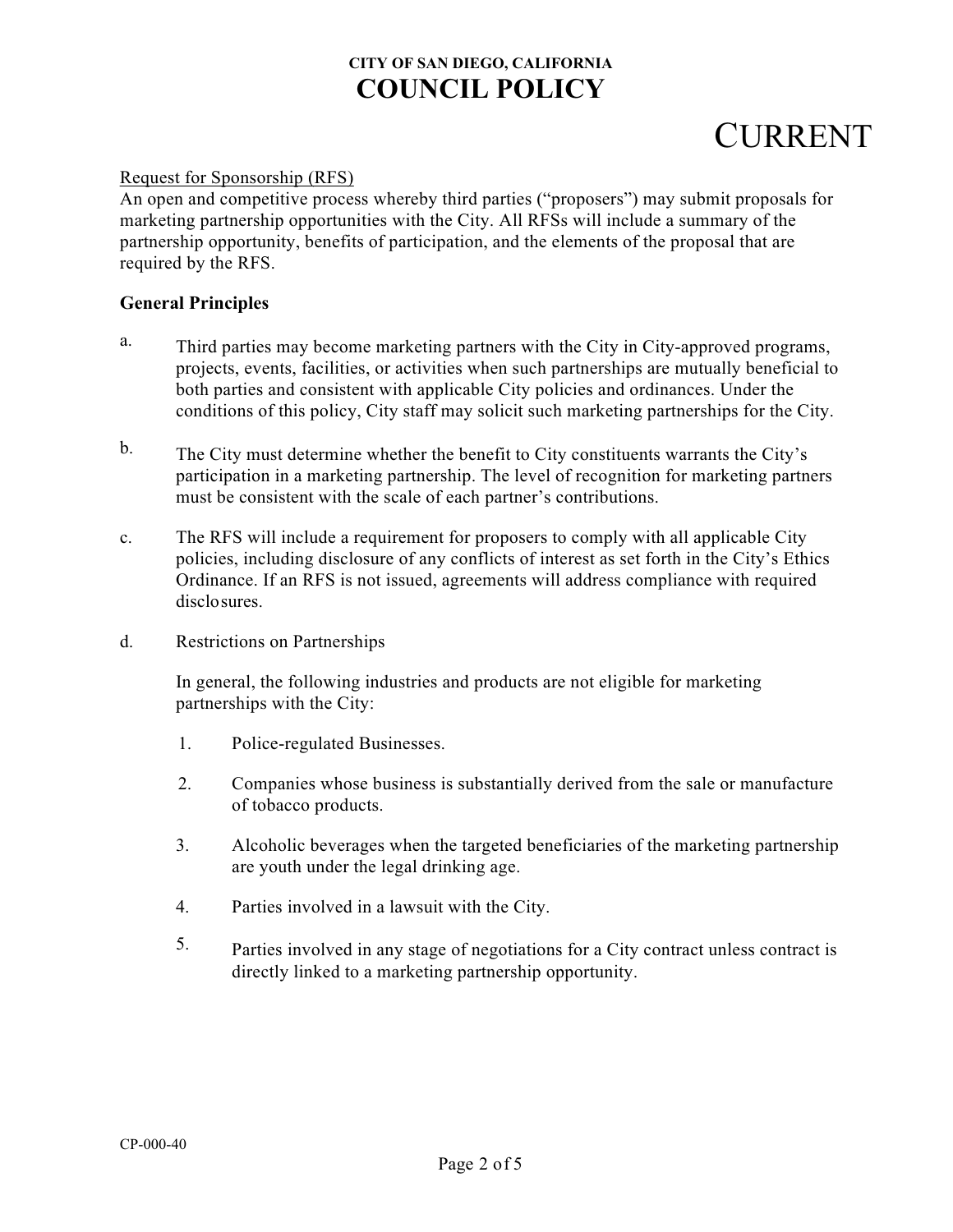# CURRENT

### Request for Sponsorship (RFS)

An open and competitive process whereby third parties ("proposers") may submit proposals for marketing partnership opportunities with the City. All RFSs will include a summary of the partnership opportunity, benefits of participation, and the elements of the proposal that are required by the RFS.

### **General Principles**

- a. Third parties may become marketing partners with the City in City-approved programs, projects, events, facilities, or activities when such partnerships are mutually beneficial to both parties and consistent with applicable City policies and ordinances. Under the conditions of this policy, City staff may solicit such marketing partnerships for the City.
- b. The City must determine whether the benefit to City constituents warrants the City's participation in a marketing partnership. The level of recognition for marketing partners must be consistent with the scale of each partner's contributions.
- c. The RFS will include a requirement for proposers to comply with all applicable City policies, including disclosure of any conflicts of interest as set forth in the City's Ethics Ordinance. If an RFS is not issued, agreements will address compliance with required disclosures.
- d. Restrictions on Partnerships

In general, the following industries and products are not eligible for marketing partnerships with the City:

- 1. Police-regulated Businesses.
- 2. Companies whose business is substantially derived from the sale or manufacture of tobacco products.
- 3. Alcoholic beverages when the targeted beneficiaries of the marketing partnership are youth under the legal drinking age.
- 4. Parties involved in a lawsuit with the City.
- 5. Parties involved in any stage of negotiations for a City contract unless contract is directly linked to a marketing partnership opportunity.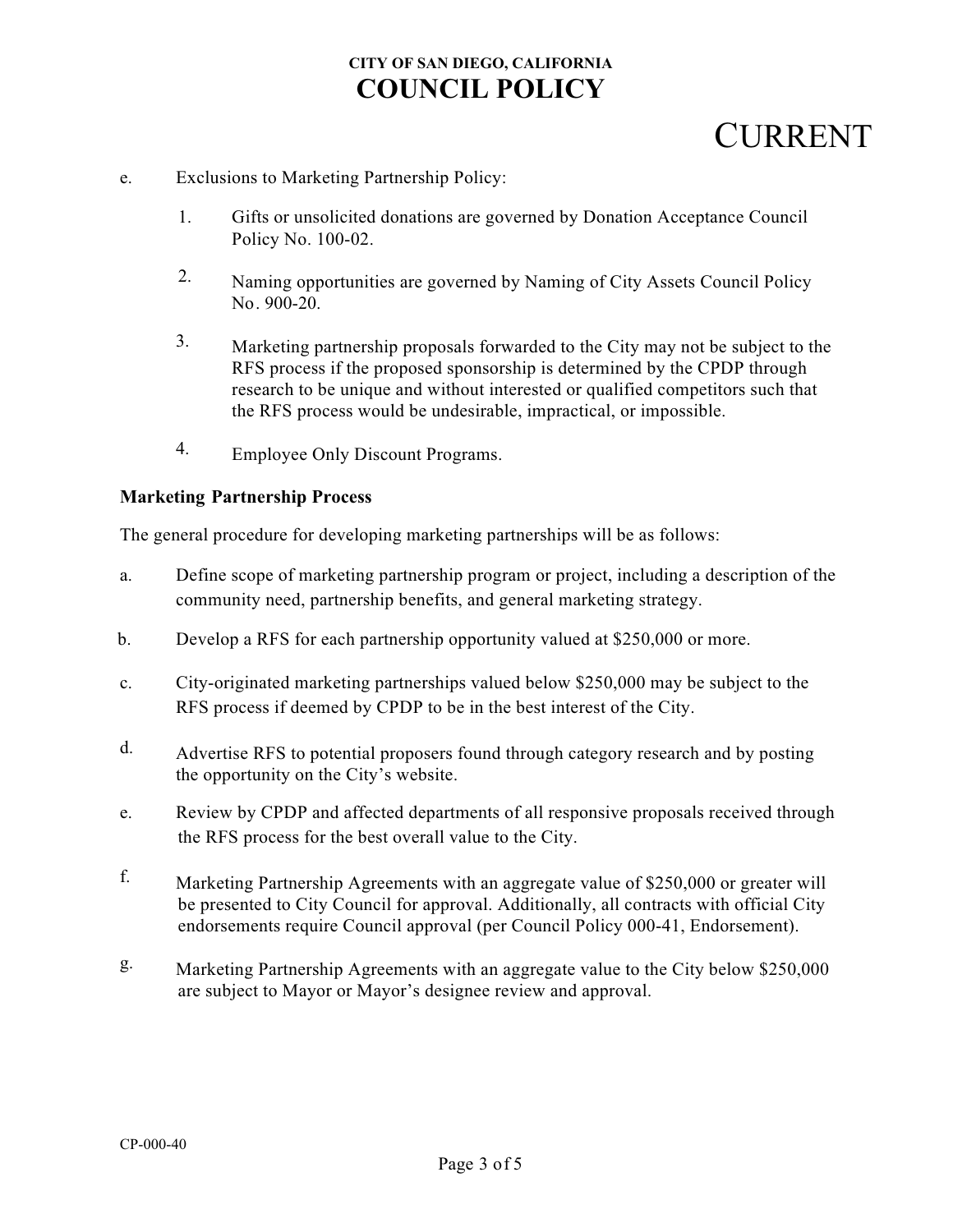# **CURRENT**

- e. Exclusions to Marketing Partnership Policy:
	- 1. Gifts or unsolicited donations are governed by Donation Acceptance Council Policy No. 100-02.
	- 2. Naming opportunities are governed by Naming of City Assets Council Policy No. 900-20.
	- 3. Marketing partnership proposals forwarded to the City may not be subject to the RFS process if the proposed sponsorship is determined by the CPDP through research to be unique and without interested or qualified competitors such that the RFS process would be undesirable, impractical, or impossible.
	- 4. Employee Only Discount Programs.

### **Marketing Partnership Process**

The general procedure for developing marketing partnerships will be as follows:

- a. Define scope of marketing partnership program or project, including a description of the community need, partnership benefits, and general marketing strategy.
- b. Develop a RFS for each partnership opportunity valued at \$250,000 or more.
- c. City-originated marketing partnerships valued below \$250,000 may be subject to the RFS process if deemed by CPDP to be in the best interest of the City.
- d. Advertise RFS to potential proposers found through category research and by posting the opportunity on the City's website.
- e. Review by CPDP and affected departments of all responsive proposals received through the RFS process for the best overall value to the City.
- f. Marketing Partnership Agreements with an aggregate value of \$250,000 or greater will be presented to City Council for approval. Additionally, all contracts with official City endorsements require Council approval (per Council Policy 000-41, Endorsement).
- g. Marketing Partnership Agreements with an aggregate value to the City below \$250,000 are subject to Mayor or Mayor's designee review and approval.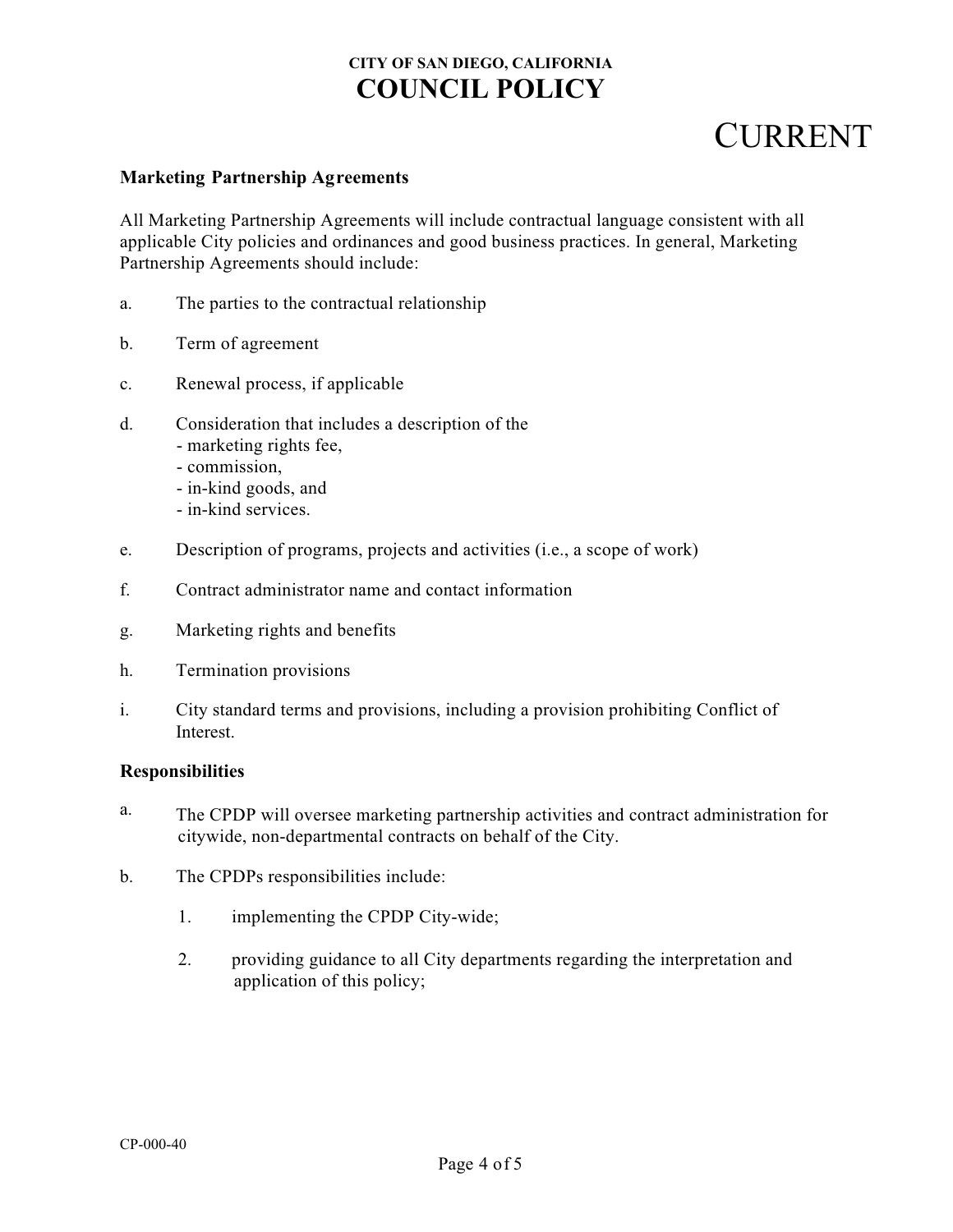# **CURRENT**

### **Marketing Partnership Agreements**

All Marketing Partnership Agreements will include contractual language consistent with all applicable City policies and ordinances and good business practices. In general, Marketing Partnership Agreements should include:

- a. The parties to the contractual relationship
- b. Term of agreement
- c. Renewal process, if applicable
- d. Consideration that includes a description of the
	- marketing rights fee,
	- commission,
	- in-kind goods, and
	- in-kind services.
- e. Description of programs, projects and activities (i.e., a scope of work)
- f. Contract administrator name and contact information
- g. Marketing rights and benefits
- h. Termination provisions
- i. City standard terms and provisions, including a provision prohibiting Conflict of Interest.

#### **Responsibilities**

- a. The CPDP will oversee marketing partnership activities and contract administration for citywide, non-departmental contracts on behalf of the City.
- b. The CPDPs responsibilities include:
	- 1. implementing the CPDP City-wide;
	- 2. providing guidance to all City departments regarding the interpretation and application of this policy;